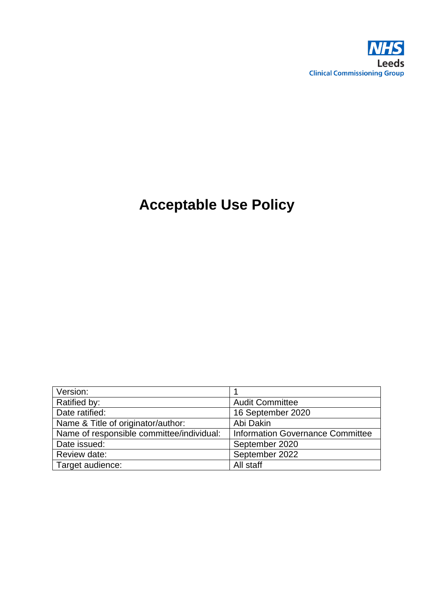

# **Acceptable Use Policy**

| Version:                                  |                                         |
|-------------------------------------------|-----------------------------------------|
| Ratified by:                              | <b>Audit Committee</b>                  |
| Date ratified:                            | 16 September 2020                       |
| Name & Title of originator/author:        | Abi Dakin                               |
| Name of responsible committee/individual: | <b>Information Governance Committee</b> |
| Date issued:                              | September 2020                          |
| Review date:                              | September 2022                          |
| Target audience:                          | All staff                               |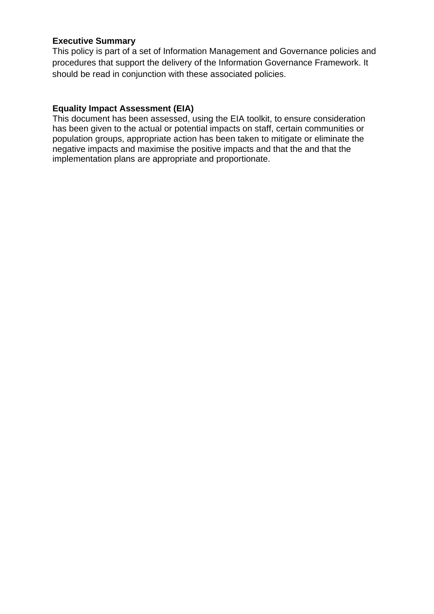#### **Executive Summary**

This policy is part of a set of Information Management and Governance policies and procedures that support the delivery of the Information Governance Framework. It should be read in conjunction with these associated policies.

#### **Equality Impact Assessment (EIA)**

This document has been assessed, using the EIA toolkit, to ensure consideration has been given to the actual or potential impacts on staff, certain communities or population groups, appropriate action has been taken to mitigate or eliminate the negative impacts and maximise the positive impacts and that the and that the implementation plans are appropriate and proportionate.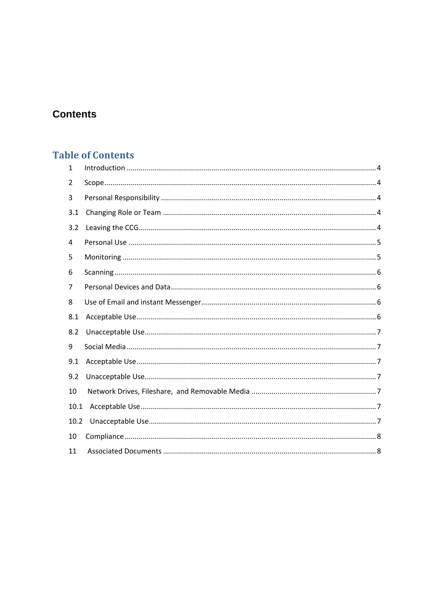# **Contents**

# **Table of Contents**

| $\mathbf{1}$ |  |
|--------------|--|
| 2            |  |
| 3            |  |
| 3.1          |  |
| 3.2          |  |
| 4            |  |
| 5            |  |
| 6            |  |
| 7            |  |
| 8            |  |
| 8.1          |  |
| 8.2          |  |
| 9            |  |
| 9.1          |  |
| 9.2          |  |
| 10           |  |
| 10.1         |  |
| 10.2         |  |
| 10           |  |
| 11           |  |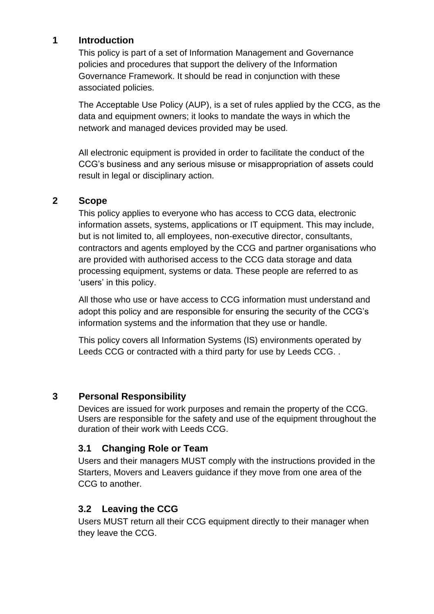#### <span id="page-3-0"></span>**1 Introduction**

This policy is part of a set of Information Management and Governance policies and procedures that support the delivery of the Information Governance Framework. It should be read in conjunction with these associated policies.

The Acceptable Use Policy (AUP), is a set of rules applied by the CCG, as the data and equipment owners; it looks to mandate the ways in which the network and managed devices provided may be used.

All electronic equipment is provided in order to facilitate the conduct of the CCG's business and any serious misuse or misappropriation of assets could result in legal or disciplinary action.

#### <span id="page-3-1"></span>**2 Scope**

This policy applies to everyone who has access to CCG data, electronic information assets, systems, applications or IT equipment. This may include, but is not limited to, all employees, non-executive director, consultants, contractors and agents employed by the CCG and partner organisations who are provided with authorised access to the CCG data storage and data processing equipment, systems or data. These people are referred to as 'users' in this policy.

All those who use or have access to CCG information must understand and adopt this policy and are responsible for ensuring the security of the CCG's information systems and the information that they use or handle.

This policy covers all Information Systems (IS) environments operated by Leeds CCG or contracted with a third party for use by Leeds CCG. .

#### <span id="page-3-2"></span>**3 Personal Responsibility**

Devices are issued for work purposes and remain the property of the CCG. Users are responsible for the safety and use of the equipment throughout the duration of their work with Leeds CCG.

### <span id="page-3-3"></span>**3.1 Changing Role or Team**

Users and their managers MUST comply with the instructions provided in the Starters, Movers and Leavers guidance if they move from one area of the CCG to another.

# <span id="page-3-4"></span>**3.2 Leaving the CCG**

Users MUST return all their CCG equipment directly to their manager when they leave the CCG.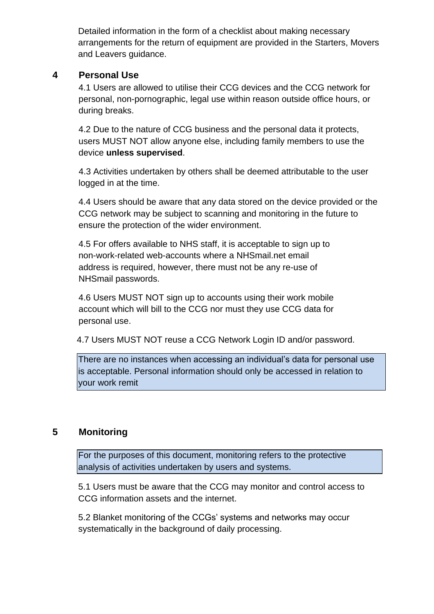Detailed information in the form of a checklist about making necessary arrangements for the return of equipment are provided in the Starters, Movers and Leavers guidance.

#### <span id="page-4-0"></span>**4 Personal Use**

4.1 Users are allowed to utilise their CCG devices and the CCG network for personal, non-pornographic, legal use within reason outside office hours, or during breaks.

4.2 Due to the nature of CCG business and the personal data it protects, users MUST NOT allow anyone else, including family members to use the device **unless supervised**.

 4.3 Activities undertaken by others shall be deemed attributable to the user logged in at the time.

4.4 Users should be aware that any data stored on the device provided or the CCG network may be subject to scanning and monitoring in the future to ensure the protection of the wider environment.

4.5 For offers available to NHS staff, it is acceptable to sign up to non-work-related web-accounts where a NHSmail.net email address is required, however, there must not be any re-use of NHSmail passwords.

4.6 Users MUST NOT sign up to accounts using their work mobile account which will bill to the CCG nor must they use CCG data for personal use.

4.7 Users MUST NOT reuse a CCG Network Login ID and/or password.

There are no instances when accessing an individual's data for personal use is acceptable. Personal information should only be accessed in relation to your work remit

## <span id="page-4-1"></span>**5 Monitoring**

For the purposes of this document, monitoring refers to the protective analysis of activities undertaken by users and systems.

5.1 Users must be aware that the CCG may monitor and control access to CCG information assets and the internet.

5.2 Blanket monitoring of the CCGs' systems and networks may occur systematically in the background of daily processing.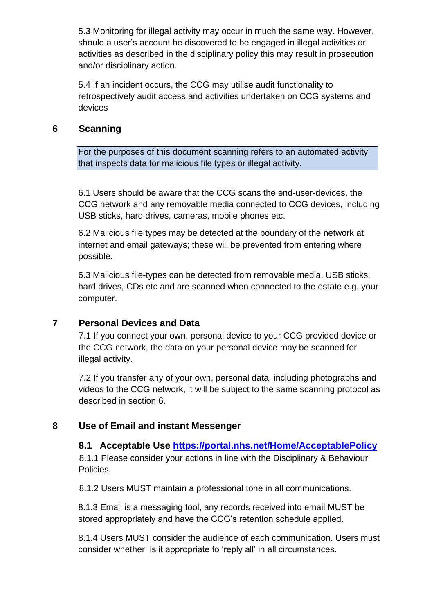5.3 Monitoring for illegal activity may occur in much the same way. However, should a user's account be discovered to be engaged in illegal activities or activities as described in the disciplinary policy this may result in prosecution and/or disciplinary action.

5.4 If an incident occurs, the CCG may utilise audit functionality to retrospectively audit access and activities undertaken on CCG systems and devices

#### <span id="page-5-0"></span>**6 Scanning**

For the purposes of this document scanning refers to an automated activity that inspects data for malicious file types or illegal activity.

6.1 Users should be aware that the CCG scans the end-user-devices, the CCG network and any removable media connected to CCG devices, including USB sticks, hard drives, cameras, mobile phones etc.

6.2 Malicious file types may be detected at the boundary of the network at internet and email gateways; these will be prevented from entering where possible.

6.3 Malicious file-types can be detected from removable media, USB sticks, hard drives, CDs etc and are scanned when connected to the estate e.g. your computer.

### <span id="page-5-1"></span>**7 Personal Devices and Data**

7.1 If you connect your own, personal device to your CCG provided device or the CCG network, the data on your personal device may be scanned for illegal activity.

7.2 If you transfer any of your own, personal data, including photographs and videos to the CCG network, it will be subject to the same scanning protocol as described in section 6.

### <span id="page-5-3"></span><span id="page-5-2"></span>**8 Use of Email and instant Messenger**

#### **8.1 Acceptable Use<https://portal.nhs.net/Home/AcceptablePolicy>**

 8.1.1 Please consider your actions in line with the Disciplinary & Behaviour Policies.

8.1.2 Users MUST maintain a professional tone in all communications.

8.1.3 Email is a messaging tool, any records received into email MUST be stored appropriately and have the CCG's retention schedule applied.

8.1.4 Users MUST consider the audience of each communication. Users must consider whether is it appropriate to 'reply all' in all circumstances.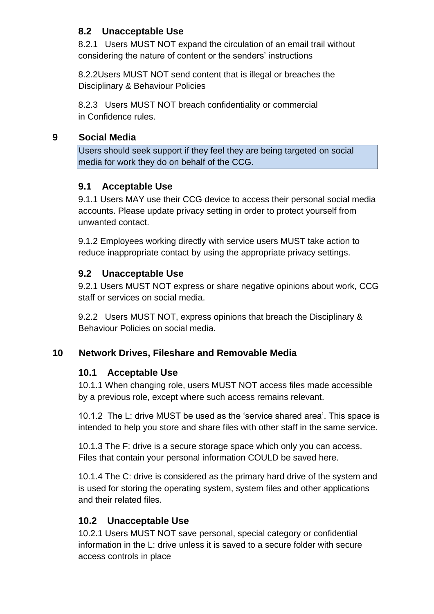## <span id="page-6-0"></span>**8.2 Unacceptable Use**

8.2.1 Users MUST NOT expand the circulation of an email trail without considering the nature of content or the senders' instructions

8.2.2Users MUST NOT send content that is illegal or breaches the Disciplinary & Behaviour Policies

8.2.3 Users MUST NOT breach confidentiality or commercial in Confidence rules.

## <span id="page-6-1"></span>**9 Social Media**

Users should seek support if they feel they are being targeted on social media for work they do on behalf of the CCG.

# <span id="page-6-2"></span>**9.1 Acceptable Use**

9.1.1 Users MAY use their CCG device to access their personal social media accounts. Please update privacy setting in order to protect yourself from unwanted contact.

9.1.2 Employees working directly with service users MUST take action to reduce inappropriate contact by using the appropriate privacy settings.

# <span id="page-6-3"></span>**9.2 Unacceptable Use**

9.2.1 Users MUST NOT express or share negative opinions about work, CCG staff or services on social media.

9.2.2 Users MUST NOT, express opinions that breach the Disciplinary & Behaviour Policies on social media.

# <span id="page-6-5"></span><span id="page-6-4"></span>**10 Network Drives, Fileshare and Removable Media**

# **10.1 Acceptable Use**

10.1.1 When changing role, users MUST NOT access files made accessible by a previous role, except where such access remains relevant.

10.1.2 The L: drive MUST be used as the 'service shared area'. This space is intended to help you store and share files with other staff in the same service.

10.1.3 The F: drive is a secure storage space which only you can access. Files that contain your personal information COULD be saved here.

10.1.4 The C: drive is considered as the primary hard drive of the system and is used for storing the operating system, system files and other applications and their related files.

# <span id="page-6-6"></span>**10.2 Unacceptable Use**

10.2.1 Users MUST NOT save personal, special category or confidential information in the L: drive unless it is saved to a secure folder with secure access controls in place